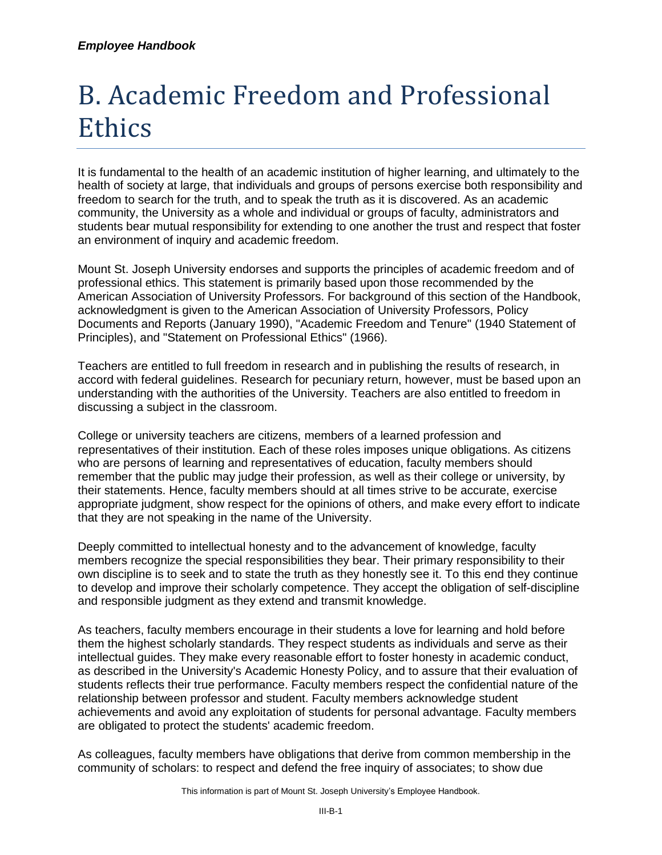## B. Academic Freedom and Professional Ethics

It is fundamental to the health of an academic institution of higher learning, and ultimately to the health of society at large, that individuals and groups of persons exercise both responsibility and freedom to search for the truth, and to speak the truth as it is discovered. As an academic community, the University as a whole and individual or groups of faculty, administrators and students bear mutual responsibility for extending to one another the trust and respect that foster an environment of inquiry and academic freedom.

Mount St. Joseph University endorses and supports the principles of academic freedom and of professional ethics. This statement is primarily based upon those recommended by the American Association of University Professors. For background of this section of the Handbook, acknowledgment is given to the American Association of University Professors, Policy Documents and Reports (January 1990), "Academic Freedom and Tenure" (1940 Statement of Principles), and "Statement on Professional Ethics" (1966).

Teachers are entitled to full freedom in research and in publishing the results of research, in accord with federal guidelines. Research for pecuniary return, however, must be based upon an understanding with the authorities of the University. Teachers are also entitled to freedom in discussing a subject in the classroom.

College or university teachers are citizens, members of a learned profession and representatives of their institution. Each of these roles imposes unique obligations. As citizens who are persons of learning and representatives of education, faculty members should remember that the public may judge their profession, as well as their college or university, by their statements. Hence, faculty members should at all times strive to be accurate, exercise appropriate judgment, show respect for the opinions of others, and make every effort to indicate that they are not speaking in the name of the University.

Deeply committed to intellectual honesty and to the advancement of knowledge, faculty members recognize the special responsibilities they bear. Their primary responsibility to their own discipline is to seek and to state the truth as they honestly see it. To this end they continue to develop and improve their scholarly competence. They accept the obligation of self-discipline and responsible judgment as they extend and transmit knowledge.

As teachers, faculty members encourage in their students a love for learning and hold before them the highest scholarly standards. They respect students as individuals and serve as their intellectual guides. They make every reasonable effort to foster honesty in academic conduct, as described in the University's Academic Honesty Policy, and to assure that their evaluation of students reflects their true performance. Faculty members respect the confidential nature of the relationship between professor and student. Faculty members acknowledge student achievements and avoid any exploitation of students for personal advantage. Faculty members are obligated to protect the students' academic freedom.

As colleagues, faculty members have obligations that derive from common membership in the community of scholars: to respect and defend the free inquiry of associates; to show due